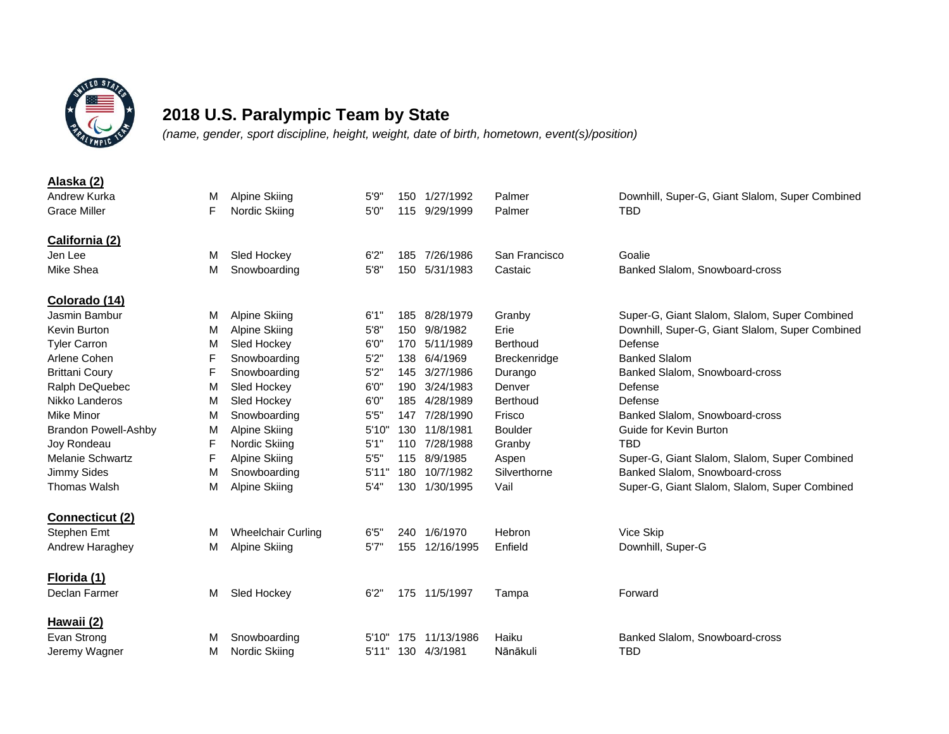

## **2018 U.S. Paralympic Team by State**

*(name, gender, sport discipline, height, weight, date of birth, hometown, event(s)/position)*

| Alaska (2)                  |   |                           |       |     |                |                 |                                                 |
|-----------------------------|---|---------------------------|-------|-----|----------------|-----------------|-------------------------------------------------|
| Andrew Kurka                | м | <b>Alpine Skiing</b>      | 5'9'  |     | 150 1/27/1992  | Palmer          | Downhill, Super-G, Giant Slalom, Super Combined |
| <b>Grace Miller</b>         | F | Nordic Skiing             | 5'0'  | 115 | 9/29/1999      | Palmer          | <b>TBD</b>                                      |
|                             |   |                           |       |     |                |                 |                                                 |
| California (2)              |   |                           |       |     |                |                 |                                                 |
| Jen Lee                     | м | Sled Hockey               | 6'2'' | 185 | 7/26/1986      | San Francisco   | Goalie                                          |
| Mike Shea                   | м | Snowboarding              | 5'8'' | 150 | 5/31/1983      | Castaic         | Banked Slalom, Snowboard-cross                  |
| Colorado (14)               |   |                           |       |     |                |                 |                                                 |
| Jasmin Bambur               | м | <b>Alpine Skiing</b>      | 6'1'' | 185 | 8/28/1979      | Granby          | Super-G, Giant Slalom, Slalom, Super Combined   |
| Kevin Burton                | M | <b>Alpine Skiing</b>      | 5'8'  | 150 | 9/8/1982       | Erie            | Downhill, Super-G, Giant Slalom, Super Combined |
| <b>Tyler Carron</b>         | M | Sled Hockey               | 6'0'  | 170 | 5/11/1989      | <b>Berthoud</b> | Defense                                         |
| Arlene Cohen                | F | Snowboarding              | 5'2'  | 138 | 6/4/1969       | Breckenridge    | <b>Banked Slalom</b>                            |
| <b>Brittani Coury</b>       | F | Snowboarding              | 5'2'  | 145 | 3/27/1986      | Durango         | Banked Slalom, Snowboard-cross                  |
| Ralph DeQuebec              | M | Sled Hockey               | 6'0'  | 190 | 3/24/1983      | Denver          | Defense                                         |
| Nikko Landeros              | M | Sled Hockey               | 6'0'  | 185 | 4/28/1989      | <b>Berthoud</b> | Defense                                         |
| Mike Minor                  | М | Snowboarding              | 5'5'  |     | 147 7/28/1990  | Frisco          | Banked Slalom, Snowboard-cross                  |
| <b>Brandon Powell-Ashby</b> | M | <b>Alpine Skiing</b>      | 5'10' |     | 130 11/8/1981  | <b>Boulder</b>  | Guide for Kevin Burton                          |
| Joy Rondeau                 | F | Nordic Skiing             | 5'1'  |     | 110 7/28/1988  | Granby          | <b>TBD</b>                                      |
| <b>Melanie Schwartz</b>     | F | <b>Alpine Skiing</b>      | 5'5'  | 115 | 8/9/1985       | Aspen           | Super-G, Giant Slalom, Slalom, Super Combined   |
| Jimmy Sides                 | M | Snowboarding              | 5'11  | 180 | 10/7/1982      | Silverthorne    | Banked Slalom, Snowboard-cross                  |
| <b>Thomas Walsh</b>         | M | <b>Alpine Skiing</b>      | 5'4'' | 130 | 1/30/1995      | Vail            | Super-G, Giant Slalom, Slalom, Super Combined   |
|                             |   |                           |       |     |                |                 |                                                 |
| <b>Connecticut (2)</b>      |   |                           |       |     |                |                 |                                                 |
| Stephen Emt                 | м | <b>Wheelchair Curling</b> | 6'5'  | 240 | 1/6/1970       | Hebron          | Vice Skip                                       |
| Andrew Haraghey             | M | Alpine Skiing             | 5'7'' |     | 155 12/16/1995 | Enfield         | Downhill, Super-G                               |
| Florida (1)                 |   |                           |       |     |                |                 |                                                 |
| Declan Farmer               | м | Sled Hockey               | 6'2'' |     | 175 11/5/1997  | Tampa           | Forward                                         |
| Hawaii (2)                  |   |                           |       |     |                |                 |                                                 |
| Evan Strong                 | м | Snowboarding              | 5'10" | 175 | 11/13/1986     | Haiku           | Banked Slalom, Snowboard-cross                  |
| Jeremy Wagner               | м | Nordic Skiing             | 5'11" |     | 130 4/3/1981   | Nānākuli        | <b>TBD</b>                                      |
|                             |   |                           |       |     |                |                 |                                                 |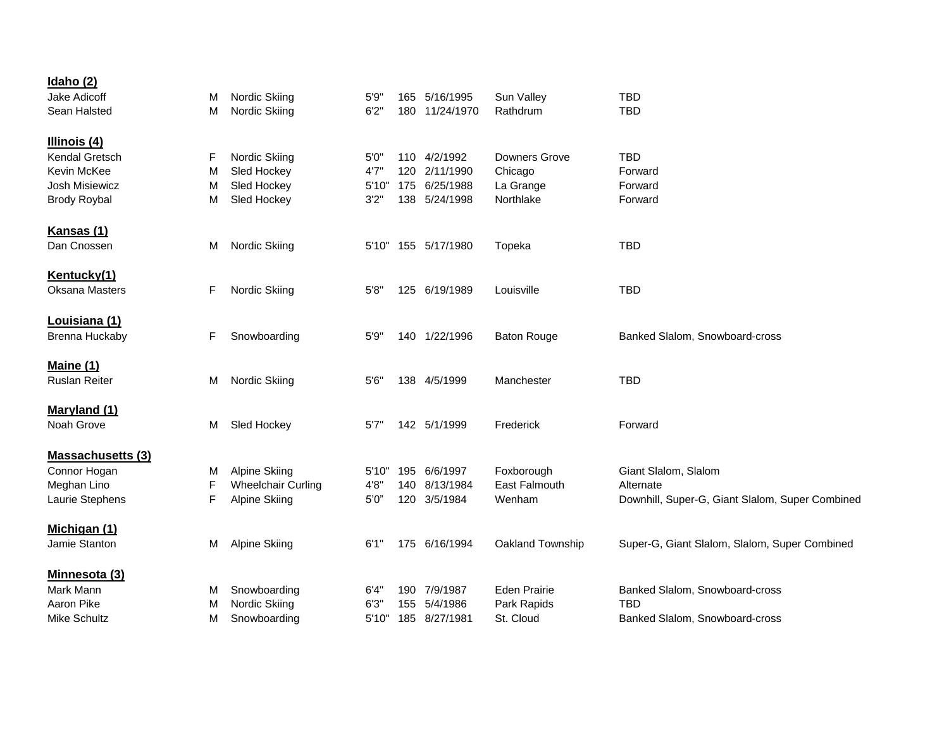| <u>Idaho (2)</u>         |    |                           |       |     |                     |                      |                                                 |
|--------------------------|----|---------------------------|-------|-----|---------------------|----------------------|-------------------------------------------------|
| Jake Adicoff             | м  | Nordic Skiing             | 5'9'' | 165 | 5/16/1995           | Sun Valley           | <b>TBD</b>                                      |
| Sean Halsted             | M  | Nordic Skiing             | 6'2'' |     | 180 11/24/1970      | Rathdrum             | <b>TBD</b>                                      |
| Illinois (4)             |    |                           |       |     |                     |                      |                                                 |
| Kendal Gretsch           | F  | Nordic Skiing             | 5'0"  |     | 110 4/2/1992        | <b>Downers Grove</b> | <b>TBD</b>                                      |
| Kevin McKee              | M  | Sled Hockey               | 4'7'  | 120 | 2/11/1990           | Chicago              | Forward                                         |
| Josh Misiewicz           | м  | Sled Hockey               | 5'10" | 175 | 6/25/1988           | La Grange            | Forward                                         |
| <b>Brody Roybal</b>      | M  | Sled Hockey               | 3'2'' |     | 138 5/24/1998       | Northlake            | Forward                                         |
| Kansas (1)               |    |                           |       |     |                     |                      |                                                 |
| Dan Cnossen              | м  | Nordic Skiing             |       |     | 5'10" 155 5/17/1980 | Topeka               | <b>TBD</b>                                      |
| Kentucky(1)              |    |                           |       |     |                     |                      |                                                 |
| <b>Oksana Masters</b>    | F  | Nordic Skiing             | 5'8'' |     | 125 6/19/1989       | Louisville           | <b>TBD</b>                                      |
| <b>Louisiana (1)</b>     |    |                           |       |     |                     |                      |                                                 |
| Brenna Huckaby           | F. | Snowboarding              | 5'9'' |     | 140 1/22/1996       | <b>Baton Rouge</b>   | Banked Slalom, Snowboard-cross                  |
| <b>Maine (1)</b>         |    |                           |       |     |                     |                      |                                                 |
| <b>Ruslan Reiter</b>     | м  | Nordic Skiing             | 5'6'' |     | 138 4/5/1999        | Manchester           | <b>TBD</b>                                      |
| <b>Maryland (1)</b>      |    |                           |       |     |                     |                      |                                                 |
| Noah Grove               | м  | Sled Hockey               | 5'7'' |     | 142 5/1/1999        | Frederick            | Forward                                         |
| <b>Massachusetts (3)</b> |    |                           |       |     |                     |                      |                                                 |
| Connor Hogan             | M  | <b>Alpine Skiing</b>      | 5'10" | 195 | 6/6/1997            | Foxborough           | Giant Slalom, Slalom                            |
| Meghan Lino              | F  | <b>Wheelchair Curling</b> | 4'8'' | 140 | 8/13/1984           | East Falmouth        | Alternate                                       |
| Laurie Stephens          | F  | <b>Alpine Skiing</b>      | 5'0'' | 120 | 3/5/1984            | Wenham               | Downhill, Super-G, Giant Slalom, Super Combined |
| Michigan (1)             |    |                           |       |     |                     |                      |                                                 |
| Jamie Stanton            | м  | Alpine Skiing             | 6'1"  |     | 175 6/16/1994       | Oakland Township     | Super-G, Giant Slalom, Slalom, Super Combined   |
| Minnesota (3)            |    |                           |       |     |                     |                      |                                                 |
| Mark Mann                | M  | Snowboarding              | 6'4"  | 190 | 7/9/1987            | <b>Eden Prairie</b>  | Banked Slalom, Snowboard-cross                  |
| Aaron Pike               | м  | Nordic Skiing             | 6'3'' | 155 | 5/4/1986            | Park Rapids          | TBD                                             |
| Mike Schultz             | М  | Snowboarding              | 5'10" |     | 185 8/27/1981       | St. Cloud            | Banked Slalom, Snowboard-cross                  |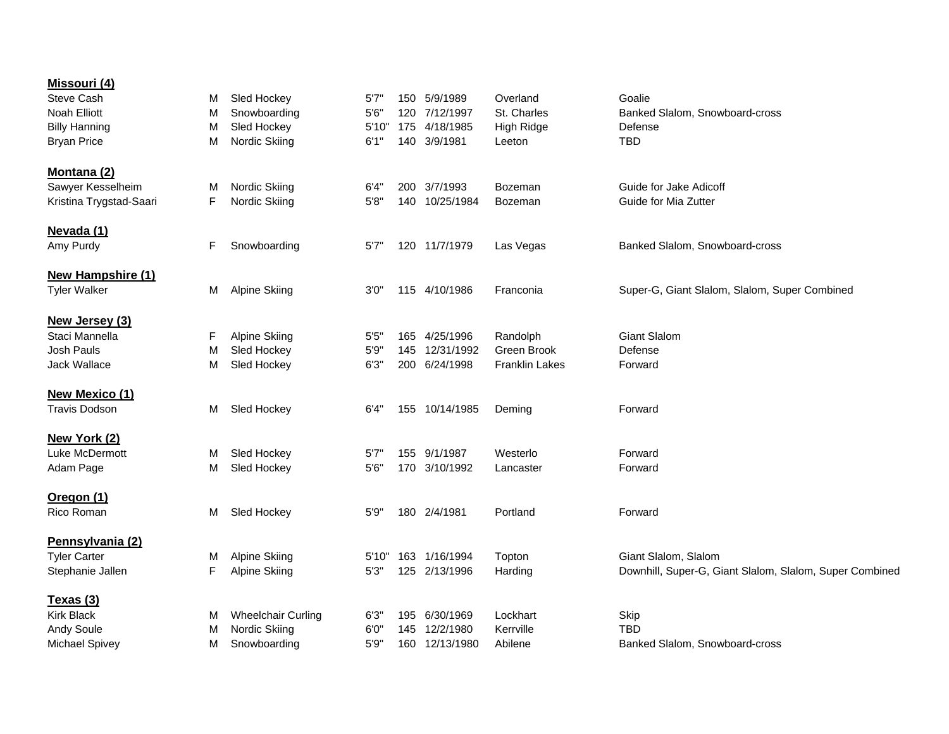| Missouri (4)             |   |                           |       |     |                |                       |                                                         |
|--------------------------|---|---------------------------|-------|-----|----------------|-----------------------|---------------------------------------------------------|
| <b>Steve Cash</b>        | M | Sled Hockey               | 5'7'  | 150 | 5/9/1989       | Overland              | Goalie                                                  |
| Noah Elliott             | M | Snowboarding              | 5'6'' | 120 | 7/12/1997      | St. Charles           | Banked Slalom, Snowboard-cross                          |
| <b>Billy Hanning</b>     | M | Sled Hockey               | 5'10" | 175 | 4/18/1985      | High Ridge            | Defense                                                 |
| <b>Bryan Price</b>       | м | Nordic Skiing             | 6'1'' | 140 | 3/9/1981       | Leeton                | <b>TBD</b>                                              |
|                          |   |                           |       |     |                |                       |                                                         |
| Montana (2)              |   |                           |       |     |                |                       |                                                         |
| Sawyer Kesselheim        | M | Nordic Skiing             | 6'4'' |     | 200 3/7/1993   | Bozeman               | Guide for Jake Adicoff                                  |
| Kristina Trygstad-Saari  | F | Nordic Skiing             | 5'8'' |     | 140 10/25/1984 | Bozeman               | Guide for Mia Zutter                                    |
|                          |   |                           |       |     |                |                       |                                                         |
| Nevada (1)               |   |                           |       |     |                |                       |                                                         |
| Amy Purdy                | F | Snowboarding              | 5'7'  |     | 120 11/7/1979  | Las Vegas             | Banked Slalom, Snowboard-cross                          |
| <b>New Hampshire (1)</b> |   |                           |       |     |                |                       |                                                         |
| <b>Tyler Walker</b>      | м | Alpine Skiing             | 3'0'' |     | 115 4/10/1986  | Franconia             | Super-G, Giant Slalom, Slalom, Super Combined           |
|                          |   |                           |       |     |                |                       |                                                         |
| New Jersey (3)           |   |                           |       |     |                |                       |                                                         |
| Staci Mannella           | F | <b>Alpine Skiing</b>      | 5'5'  |     | 165 4/25/1996  | Randolph              | <b>Giant Slalom</b>                                     |
| Josh Pauls               | M | Sled Hockey               | 5'9'' | 145 | 12/31/1992     | Green Brook           | Defense                                                 |
| Jack Wallace             | м | Sled Hockey               | 6'3'' |     | 200 6/24/1998  | <b>Franklin Lakes</b> | Forward                                                 |
|                          |   |                           |       |     |                |                       |                                                         |
| <b>New Mexico (1)</b>    |   |                           |       |     |                |                       |                                                         |
| <b>Travis Dodson</b>     | м | Sled Hockey               | 6'4"  |     | 155 10/14/1985 | Deming                | Forward                                                 |
|                          |   |                           |       |     |                |                       |                                                         |
| New York (2)             |   |                           |       |     |                |                       |                                                         |
| Luke McDermott           | M | Sled Hockey               | 5'7'  | 155 | 9/1/1987       | Westerlo              | Forward                                                 |
| Adam Page                | м | Sled Hockey               | 5'6'' | 170 | 3/10/1992      | Lancaster             | Forward                                                 |
| Oregon (1)               |   |                           |       |     |                |                       |                                                         |
| Rico Roman               | M | Sled Hockey               | 5'9'' |     | 180 2/4/1981   | Portland              | Forward                                                 |
|                          |   |                           |       |     |                |                       |                                                         |
| Pennsylvania (2)         |   |                           |       |     |                |                       |                                                         |
| <b>Tyler Carter</b>      | M | <b>Alpine Skiing</b>      | 5'10" |     | 163 1/16/1994  | Topton                | Giant Slalom, Slalom                                    |
| Stephanie Jallen         | F | <b>Alpine Skiing</b>      | 5'3'' |     | 125 2/13/1996  | Harding               | Downhill, Super-G, Giant Slalom, Slalom, Super Combined |
|                          |   |                           |       |     |                |                       |                                                         |
| Texas (3)                |   |                           |       |     |                |                       |                                                         |
| <b>Kirk Black</b>        | м | <b>Wheelchair Curling</b> | 6'3'' | 195 | 6/30/1969      | Lockhart              | Skip                                                    |
| <b>Andy Soule</b>        | M | Nordic Skiing             | 6'0'  | 145 | 12/2/1980      | Kerrville             | <b>TBD</b>                                              |
| <b>Michael Spivey</b>    | м | Snowboarding              | 5'9'  |     | 160 12/13/1980 | Abilene               | Banked Slalom, Snowboard-cross                          |